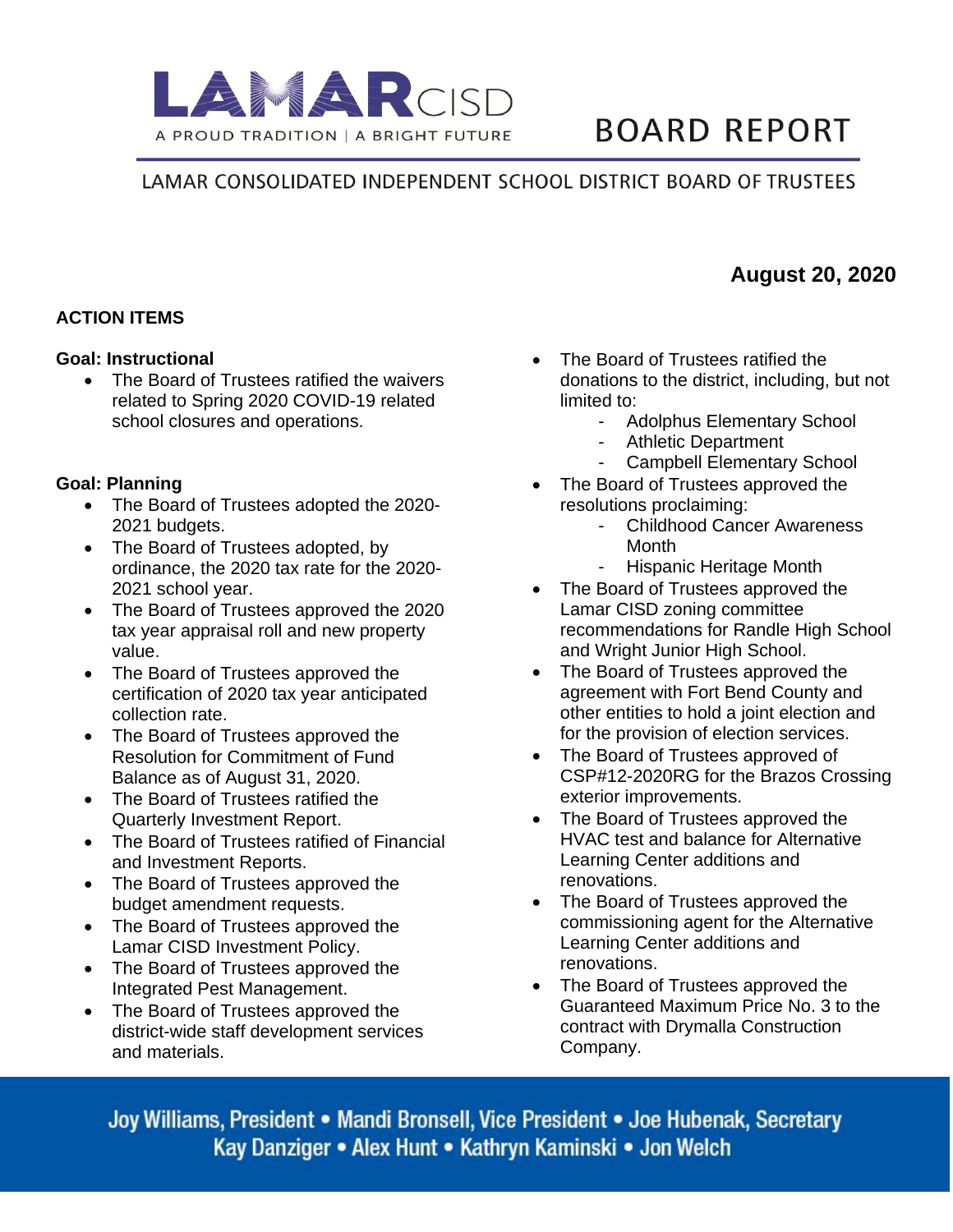

# **BOARD REPORT**

## LAMAR CONSOLIDATED INDEPENDENT SCHOOL DISTRICT BOARD OF TRUSTEES

## **ACTION ITEMS**

#### **Goal: Instructional**

The Board of Trustees ratified the waivers related to Spring 2020 COVID-19 related school closures and operations.

#### **Goal: Planning**

- The Board of Trustees adopted the 2020- 2021 budgets.
- The Board of Trustees adopted, by ordinance, the 2020 tax rate for the 2020- 2021 school year.
- The Board of Trustees approved the 2020 tax year appraisal roll and new property value.
- The Board of Trustees approved the certification of 2020 tax year anticipated collection rate.
- The Board of Trustees approved the Resolution for Commitment of Fund Balance as of August 31, 2020.
- The Board of Trustees ratified the Quarterly Investment Report.
- The Board of Trustees ratified of Financial and Investment Reports.
- The Board of Trustees approved the budget amendment requests.
- The Board of Trustees approved the Lamar CISD Investment Policy.
- The Board of Trustees approved the Integrated Pest Management.
- The Board of Trustees approved the district-wide staff development services and materials.
- The Board of Trustees ratified the donations to the district, including, but not limited to:
	- Adolphus Elementary School
	- Athletic Department
	- Campbell Elementary School
- The Board of Trustees approved the resolutions proclaiming:
	- Childhood Cancer Awareness **Month**
	- Hispanic Heritage Month
- The Board of Trustees approved the Lamar CISD zoning committee recommendations for Randle High School and Wright Junior High School.
- The Board of Trustees approved the agreement with Fort Bend County and other entities to hold a joint election and for the provision of election services.
- The Board of Trustees approved of CSP#12-2020RG for the Brazos Crossing exterior improvements.
- The Board of Trustees approved the HVAC test and balance for Alternative Learning Center additions and renovations.
- The Board of Trustees approved the commissioning agent for the Alternative Learning Center additions and renovations.
- The Board of Trustees approved the Guaranteed Maximum Price No. 3 to the contract with Drymalla Construction Company.

Joy Williams, President • Mandi Bronsell, Vice President • Joe Hubenak, Secretary Kay Danziger • Alex Hunt • Kathryn Kaminski • Jon Welch

## **August 20, 2020**